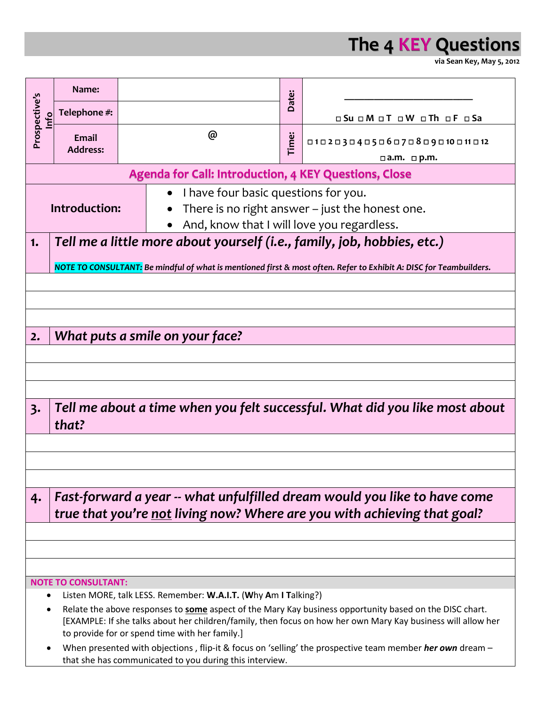

**via Sean Key, May 5, 2012**

| Prospective's<br>Info                                        | Name:                                                                                                                                                                                                                                                                            |  | @                                                     |  |                                |  |  |  |  |  |
|--------------------------------------------------------------|----------------------------------------------------------------------------------------------------------------------------------------------------------------------------------------------------------------------------------------------------------------------------------|--|-------------------------------------------------------|--|--------------------------------|--|--|--|--|--|
|                                                              | Telephone #:                                                                                                                                                                                                                                                                     |  |                                                       |  | o Su o M o T o W o Th o F o Sa |  |  |  |  |  |
|                                                              | Email<br><b>Address:</b>                                                                                                                                                                                                                                                         |  |                                                       |  | 010203040506070809010011012    |  |  |  |  |  |
|                                                              |                                                                                                                                                                                                                                                                                  |  |                                                       |  | $\Box$ a.m. $\Box$ p.m.        |  |  |  |  |  |
| <b>Agenda for Call: Introduction, 4 KEY Questions, Close</b> |                                                                                                                                                                                                                                                                                  |  |                                                       |  |                                |  |  |  |  |  |
|                                                              |                                                                                                                                                                                                                                                                                  |  | I have four basic questions for you.<br>$\bullet$     |  |                                |  |  |  |  |  |
| Introduction:                                                |                                                                                                                                                                                                                                                                                  |  | There is no right answer - just the honest one.       |  |                                |  |  |  |  |  |
|                                                              |                                                                                                                                                                                                                                                                                  |  | And, know that I will love you regardless.            |  |                                |  |  |  |  |  |
| 1.                                                           | Tell me a little more about yourself (i.e., family, job, hobbies, etc.)                                                                                                                                                                                                          |  |                                                       |  |                                |  |  |  |  |  |
|                                                              |                                                                                                                                                                                                                                                                                  |  |                                                       |  |                                |  |  |  |  |  |
|                                                              | NOTE TO CONSULTANT: Be mindful of what is mentioned first & most often. Refer to Exhibit A: DISC for Teambuilders.                                                                                                                                                               |  |                                                       |  |                                |  |  |  |  |  |
|                                                              |                                                                                                                                                                                                                                                                                  |  |                                                       |  |                                |  |  |  |  |  |
|                                                              |                                                                                                                                                                                                                                                                                  |  |                                                       |  |                                |  |  |  |  |  |
|                                                              |                                                                                                                                                                                                                                                                                  |  |                                                       |  |                                |  |  |  |  |  |
| 2.                                                           | What puts a smile on your face?                                                                                                                                                                                                                                                  |  |                                                       |  |                                |  |  |  |  |  |
|                                                              |                                                                                                                                                                                                                                                                                  |  |                                                       |  |                                |  |  |  |  |  |
|                                                              |                                                                                                                                                                                                                                                                                  |  |                                                       |  |                                |  |  |  |  |  |
|                                                              |                                                                                                                                                                                                                                                                                  |  |                                                       |  |                                |  |  |  |  |  |
|                                                              |                                                                                                                                                                                                                                                                                  |  |                                                       |  |                                |  |  |  |  |  |
| 3.                                                           | Tell me about a time when you felt successful. What did you like most about                                                                                                                                                                                                      |  |                                                       |  |                                |  |  |  |  |  |
|                                                              | that?                                                                                                                                                                                                                                                                            |  |                                                       |  |                                |  |  |  |  |  |
|                                                              |                                                                                                                                                                                                                                                                                  |  |                                                       |  |                                |  |  |  |  |  |
|                                                              |                                                                                                                                                                                                                                                                                  |  |                                                       |  |                                |  |  |  |  |  |
|                                                              |                                                                                                                                                                                                                                                                                  |  |                                                       |  |                                |  |  |  |  |  |
| 4.                                                           | Fast-forward a year -- what unfulfilled dream would you like to have come                                                                                                                                                                                                        |  |                                                       |  |                                |  |  |  |  |  |
|                                                              | true that you're not living now? Where are you with achieving that goal?                                                                                                                                                                                                         |  |                                                       |  |                                |  |  |  |  |  |
|                                                              |                                                                                                                                                                                                                                                                                  |  |                                                       |  |                                |  |  |  |  |  |
|                                                              |                                                                                                                                                                                                                                                                                  |  |                                                       |  |                                |  |  |  |  |  |
|                                                              |                                                                                                                                                                                                                                                                                  |  |                                                       |  |                                |  |  |  |  |  |
|                                                              |                                                                                                                                                                                                                                                                                  |  |                                                       |  |                                |  |  |  |  |  |
| <b>NOTE TO CONSULTANT:</b>                                   |                                                                                                                                                                                                                                                                                  |  |                                                       |  |                                |  |  |  |  |  |
|                                                              | Listen MORE, talk LESS. Remember: W.A.I.T. (Why Am I Talking?)                                                                                                                                                                                                                   |  |                                                       |  |                                |  |  |  |  |  |
|                                                              | Relate the above responses to <b>some</b> aspect of the Mary Kay business opportunity based on the DISC chart.<br>[EXAMPLE: If she talks about her children/family, then focus on how her own Mary Kay business will allow her<br>to provide for or spend time with her family.] |  |                                                       |  |                                |  |  |  |  |  |
|                                                              |                                                                                                                                                                                                                                                                                  |  | objections flip it 0 feather feeling the presentative |  |                                |  |  |  |  |  |

 When presented with objections , flip-it & focus on 'selling' the prospective team member *her own* dream – that she has communicated to you during this interview.